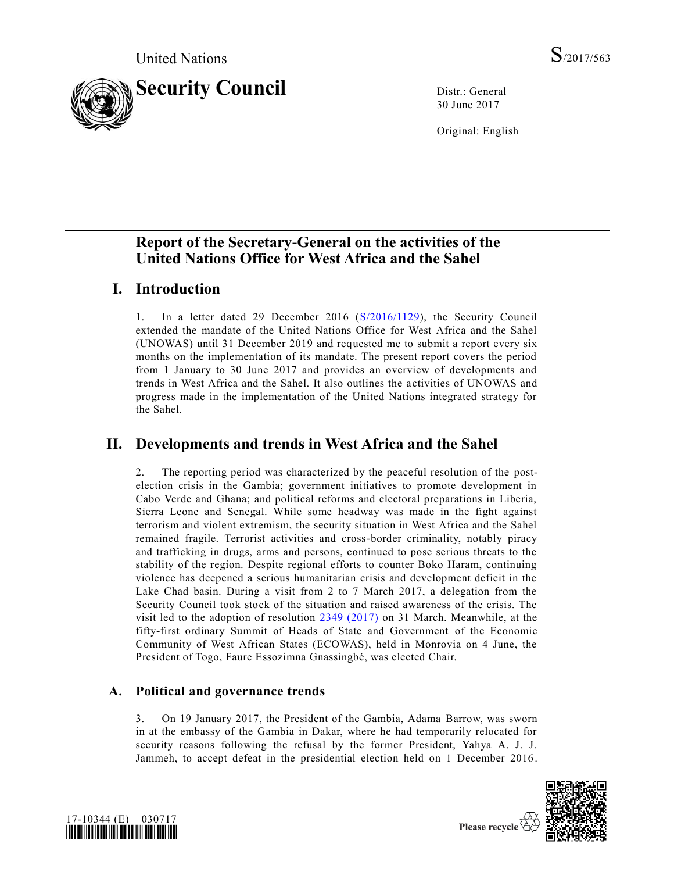

30 June 2017

Original: English

# **Report of the Secretary-General on the activities of the United Nations Office for West Africa and the Sahel**

# **I. Introduction**

1. In a letter dated 29 December 2016 [\(S/2016/1129\)](https://undocs.org/S/2016/1129), the Security Council extended the mandate of the United Nations Office for West Africa and the Sahel (UNOWAS) until 31 December 2019 and requested me to submit a report every six months on the implementation of its mandate. The present report covers the period from 1 January to 30 June 2017 and provides an overview of developments and trends in West Africa and the Sahel. It also outlines the activities of UNOWAS and progress made in the implementation of the United Nations integrated strategy for the Sahel.

# **II. Developments and trends in West Africa and the Sahel**

2. The reporting period was characterized by the peaceful resolution of the postelection crisis in the Gambia; government initiatives to promote development in Cabo Verde and Ghana; and political reforms and electoral preparations in Liberia, Sierra Leone and Senegal. While some headway was made in the fight against terrorism and violent extremism, the security situation in West Africa and the Sahel remained fragile. Terrorist activities and cross-border criminality, notably piracy and trafficking in drugs, arms and persons, continued to pose serious threats to the stability of the region. Despite regional efforts to counter Boko Haram, continuing violence has deepened a serious humanitarian crisis and development deficit in the Lake Chad basin. During a visit from 2 to 7 March 2017, a delegation from the Security Council took stock of the situation and raised awareness of the crisis. The visit led to the adoption of resolution [2349 \(2017\)](https://undocs.org/S/RES/2349(2017)) on 31 March. Meanwhile, at the fifty-first ordinary Summit of Heads of State and Government of the Economic Community of West African States (ECOWAS), held in Monrovia on 4 June, the President of Togo, Faure Essozimna Gnassingbé, was elected Chair.

# **A. Political and governance trends**

3. On 19 January 2017, the President of the Gambia, Adama Barrow, was sworn in at the embassy of the Gambia in Dakar, where he had temporarily relocated for security reasons following the refusal by the former President, Yahya A. J. J. Jammeh, to accept defeat in the presidential election held on 1 December 2016.



Please recycle  $\Diamond$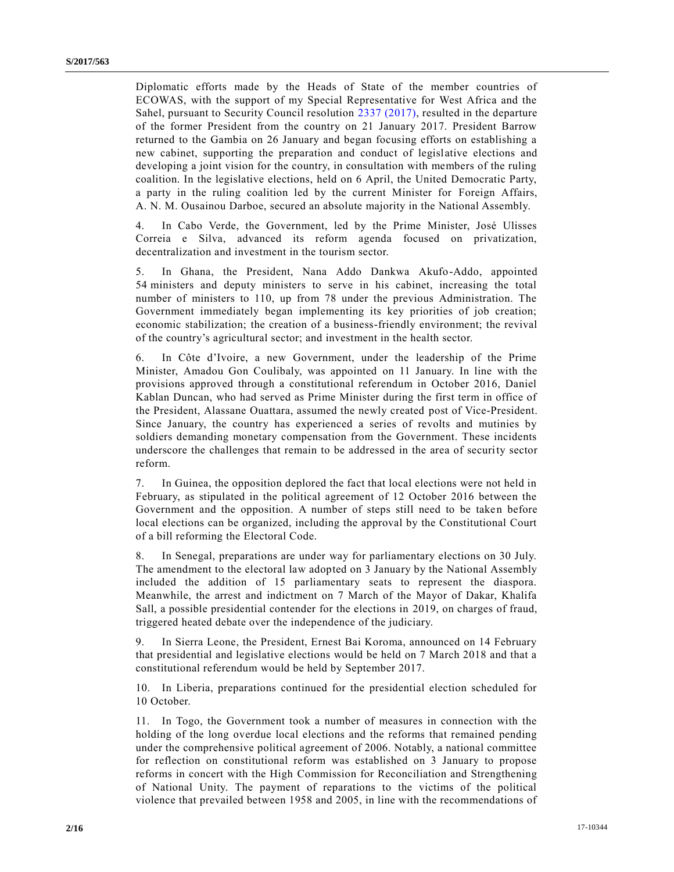Diplomatic efforts made by the Heads of State of the member countries of ECOWAS, with the support of my Special Representative for West Africa and the Sahel, pursuant to Security Council resolution 2337 [\(2017\),](https://undocs.org/S/RES/2337(2017)) resulted in the departure of the former President from the country on 21 January 2017. President Barrow returned to the Gambia on 26 January and began focusing efforts on establishing a new cabinet, supporting the preparation and conduct of legislative elections and developing a joint vision for the country, in consultation with members of the ruling coalition. In the legislative elections, held on 6 April, the United Democratic Party, a party in the ruling coalition led by the current Minister for Foreign Affairs, A. N. M. Ousainou Darboe, secured an absolute majority in the National Assembly.

4. In Cabo Verde, the Government, led by the Prime Minister, José Ulisses Correia e Silva, advanced its reform agenda focused on privatization, decentralization and investment in the tourism sector.

5. In Ghana, the President, Nana Addo Dankwa Akufo-Addo, appointed 54 ministers and deputy ministers to serve in his cabinet, increasing the total number of ministers to 110, up from 78 under the previous Administration. The Government immediately began implementing its key priorities of job creation; economic stabilization; the creation of a business-friendly environment; the revival of the country's agricultural sector; and investment in the health sector.

6. In Côte d'Ivoire, a new Government, under the leadership of the Prime Minister, Amadou Gon Coulibaly, was appointed on 11 January. In line with the provisions approved through a constitutional referendum in October 2016, Daniel Kablan Duncan, who had served as Prime Minister during the first term in office of the President, Alassane Ouattara, assumed the newly created post of Vice-President. Since January, the country has experienced a series of revolts and mutinies by soldiers demanding monetary compensation from the Government. These incidents underscore the challenges that remain to be addressed in the area of security sector reform.

7. In Guinea, the opposition deplored the fact that local elections were not held in February, as stipulated in the political agreement of 12 October 2016 between the Government and the opposition. A number of steps still need to be taken before local elections can be organized, including the approval by the Constitutional Court of a bill reforming the Electoral Code.

8. In Senegal, preparations are under way for parliamentary elections on 30 July. The amendment to the electoral law adopted on 3 January by the National Assembly included the addition of 15 parliamentary seats to represent the diaspora. Meanwhile, the arrest and indictment on 7 March of the Mayor of Dakar, Khalifa Sall, a possible presidential contender for the elections in 2019, on charges of fraud, triggered heated debate over the independence of the judiciary.

9. In Sierra Leone, the President, Ernest Bai Koroma, announced on 14 February that presidential and legislative elections would be held on 7 March 2018 and that a constitutional referendum would be held by September 2017.

10. In Liberia, preparations continued for the presidential election scheduled for 10 October.

11. In Togo, the Government took a number of measures in connection with the holding of the long overdue local elections and the reforms that remained pending under the comprehensive political agreement of 2006. Notably, a national committee for reflection on constitutional reform was established on 3 January to propose reforms in concert with the High Commission for Reconciliation and Strengthening of National Unity. The payment of reparations to the victims of the political violence that prevailed between 1958 and 2005, in line with the recommendations of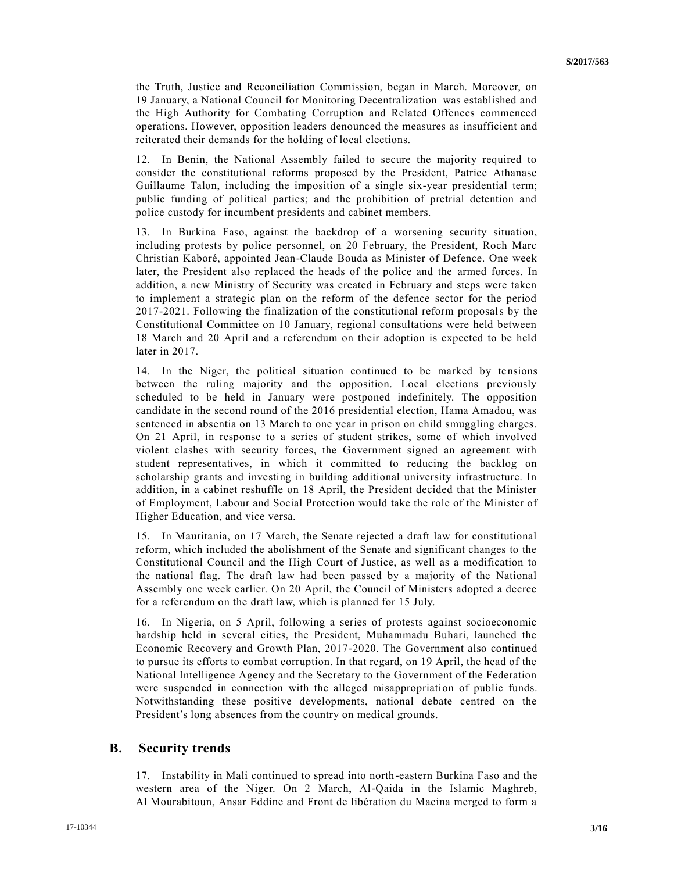the Truth, Justice and Reconciliation Commission, began in March. Moreover, on 19 January, a National Council for Monitoring Decentralization  was established and the High Authority for Combating Corruption and Related Offences commenced operations. However, opposition leaders denounced the measures as insufficient and reiterated their demands for the holding of local elections.

12. In Benin, the National Assembly failed to secure the majority required to consider the constitutional reforms proposed by the President, Patrice Athanase Guillaume Talon, including the imposition of a single six-year presidential term; public funding of political parties; and the prohibition of pretrial detention and police custody for incumbent presidents and cabinet members.

13. In Burkina Faso, against the backdrop of a worsening security situation, including protests by police personnel, on 20 February, the President, Roch Marc Christian Kaboré, appointed Jean-Claude Bouda as Minister of Defence. One week later, the President also replaced the heads of the police and the armed forces. In addition, a new Ministry of Security was created in February and steps were taken to implement a strategic plan on the reform of the defence sector for the period 2017-2021. Following the finalization of the constitutional reform proposals by the Constitutional Committee on 10 January, regional consultations were held between 18 March and 20 April and a referendum on their adoption is expected to be held later in 2017.

14. In the Niger, the political situation continued to be marked by tensions between the ruling majority and the opposition. Local elections previously scheduled to be held in January were postponed indefinitely. The opposition candidate in the second round of the 2016 presidential election, Hama Amadou, was sentenced in absentia on 13 March to one year in prison on child smuggling charges. On 21 April, in response to a series of student strikes, some of which involved violent clashes with security forces, the Government signed an agreement with student representatives, in which it committed to reducing the backlog on scholarship grants and investing in building additional university infrastructure. In addition, in a cabinet reshuffle on 18 April, the President decided that the Minister of Employment, Labour and Social Protection would take the role of the Minister of Higher Education, and vice versa.

15. In Mauritania, on 17 March, the Senate rejected a draft law for constitutional reform, which included the abolishment of the Senate and significant changes to the Constitutional Council and the High Court of Justice, as well as a modification to the national flag. The draft law had been passed by a majority of the National Assembly one week earlier. On 20 April, the Council of Ministers adopted a decree for a referendum on the draft law, which is planned for 15 July. 

16. In Nigeria, on 5 April, following a series of protests against socioeconomic hardship held in several cities, the President, Muhammadu Buhari, launched the Economic Recovery and Growth Plan, 2017-2020. The Government also continued to pursue its efforts to combat corruption. In that regard, on 19 April, the head of the National Intelligence Agency and the Secretary to the Government of the Federation were suspended in connection with the alleged misappropriation of public funds. Notwithstanding these positive developments, national debate centred on the President's long absences from the country on medical grounds.

### **B. Security trends**

17. Instability in Mali continued to spread into north-eastern Burkina Faso and the western area of the Niger. On 2 March, Al-Qaida in the Islamic Maghreb, Al Mourabitoun, Ansar Eddine and Front de libération du Macina merged to form a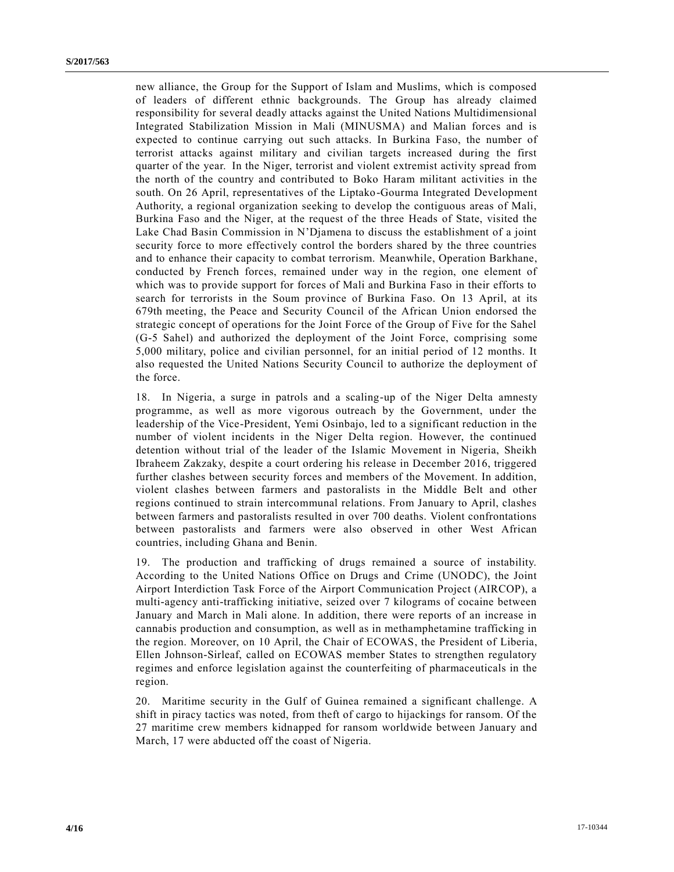new alliance, the Group for the Support of Islam and Muslims, which is composed of leaders of different ethnic backgrounds. The Group has already claimed responsibility for several deadly attacks against the United Nations Multidimensional Integrated Stabilization Mission in Mali (MINUSMA) and Malian forces and is expected to continue carrying out such attacks. In Burkina Faso, the number of terrorist attacks against military and civilian targets increased during the first quarter of the year.  In the Niger, terrorist and violent extremist activity spread from the north of the country and contributed to Boko Haram militant activities in the south. On 26 April, representatives of the Liptako-Gourma Integrated Development Authority, a regional organization seeking to develop the contiguous areas of Mali, Burkina Faso and the Niger, at the request of the three Heads of State, visited the Lake Chad Basin Commission in N'Djamena to discuss the establishment of a joint security force to more effectively control the borders shared by the three countries and to enhance their capacity to combat terrorism. Meanwhile, Operation Barkhane, conducted by French forces, remained under way in the region, one element of which was to provide support for forces of Mali and Burkina Faso in their efforts to search for terrorists in the Soum province of Burkina Faso. On 13 April, at its 679th meeting, the Peace and Security Council of the African Union endorsed the strategic concept of operations for the Joint Force of the Group of Five for the Sahel (G-5 Sahel) and authorized the deployment of the Joint Force, comprising some 5,000 military, police and civilian personnel, for an initial period of 12 months. It also requested the United Nations Security Council to authorize the deployment of the force.

18. In Nigeria, a surge in patrols and a scaling-up of the Niger Delta amnesty programme, as well as more vigorous outreach by the Government, under the leadership of the Vice-President, Yemi Osinbajo, led to a significant reduction in the number of violent incidents in the Niger Delta region. However, the continued detention without trial of the leader of the Islamic Movement in Nigeria, Sheikh Ibraheem Zakzaky, despite a court ordering his release in December 2016, triggered further clashes between security forces and members of the Movement. In addition, violent clashes between farmers and pastoralists in the Middle Belt and other regions continued to strain intercommunal relations. From January to April, clashes between farmers and pastoralists resulted in over 700 deaths. Violent confrontations between pastoralists and farmers were also observed in other West African countries, including Ghana and Benin.

19. The production and trafficking of drugs remained a source of instability. According to the United Nations Office on Drugs and Crime (UNODC), the Joint Airport Interdiction Task Force of the Airport Communication Project (AIRCOP), a multi-agency anti-trafficking initiative, seized over 7 kilograms of cocaine between January and March in Mali alone. In addition, there were reports of an increase in cannabis production and consumption, as well as in methamphetamine trafficking in the region. Moreover, on 10 April, the Chair of ECOWAS, the President of Liberia, Ellen Johnson-Sirleaf, called on ECOWAS member States to strengthen regulatory regimes and enforce legislation against the counterfeiting of pharmaceuticals in the region.

20. Maritime security in the Gulf of Guinea remained a significant challenge. A shift in piracy tactics was noted, from theft of cargo to hijackings for ransom. Of the 27 maritime crew members kidnapped for ransom worldwide between January and March, 17 were abducted off the coast of Nigeria.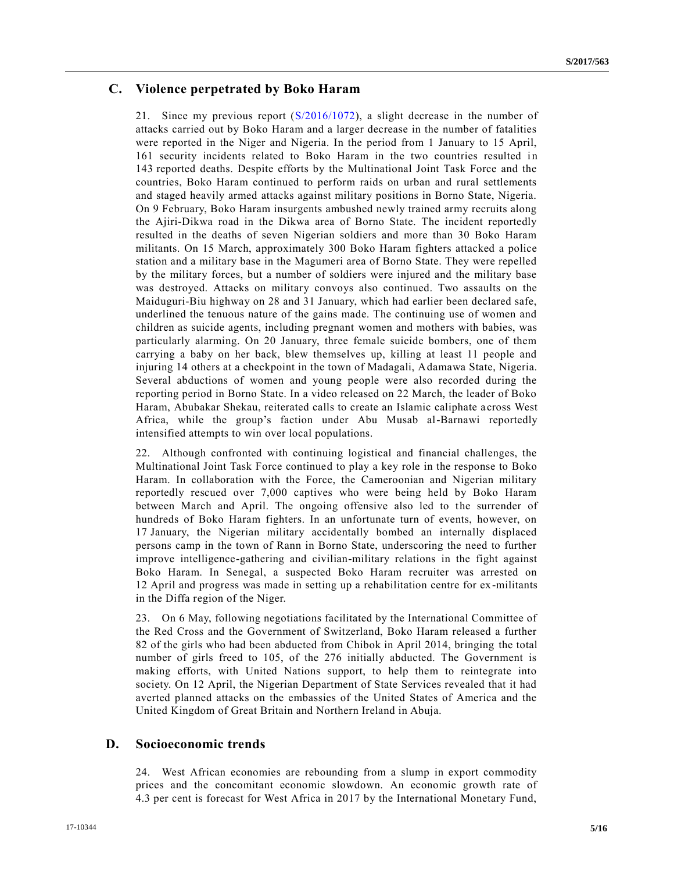# **C. Violence perpetrated by Boko Haram**

21. Since my previous report [\(S/2016/1072\)](https://undocs.org/S/2016/1072), a slight decrease in the number of attacks carried out by Boko Haram and a larger decrease in the number of fatalities were reported in the Niger and Nigeria. In the period from 1 January to 15 April, 161 security incidents related to Boko Haram in the two countries resulted in 143 reported deaths. Despite efforts by the Multinational Joint Task Force and the countries, Boko Haram continued to perform raids on urban and rural settlements and staged heavily armed attacks against military positions in Borno State, Nigeria. On 9 February, Boko Haram insurgents ambushed newly trained army recruits along the Ajiri-Dikwa road in the Dikwa area of Borno State. The incident reportedly resulted in the deaths of seven Nigerian soldiers and more than 30 Boko Haram militants. On 15 March, approximately 300 Boko Haram fighters attacked a police station and a military base in the Magumeri area of Borno State. They were repelled by the military forces, but a number of soldiers were injured and the military base was destroyed. Attacks on military convoys also continued. Two assaults on the Maiduguri-Biu highway on 28 and 31 January, which had earlier been declared safe, underlined the tenuous nature of the gains made. The continuing use of women and children as suicide agents, including pregnant women and mothers with babies, was particularly alarming. On 20 January, three female suicide bombers, one of them carrying a baby on her back, blew themselves up, killing at least 11 people and injuring 14 others at a checkpoint in the town of Madagali, Adamawa State, Nigeria. Several abductions of women and young people were also recorded during the reporting period in Borno State. In a video released on 22 March, the leader of Boko Haram, Abubakar Shekau, reiterated calls to create an Islamic caliphate a cross West Africa, while the group's faction under Abu Musab al-Barnawi reportedly intensified attempts to win over local populations.

22. Although confronted with continuing logistical and financial challenges, the Multinational Joint Task Force continued to play a key role in the response to Boko Haram. In collaboration with the Force, the Cameroonian and Nigerian military reportedly rescued over 7,000 captives who were being held by Boko Haram between March and April. The ongoing offensive also led to the surrender of hundreds of Boko Haram fighters. In an unfortunate turn of events, however, on 17 January, the Nigerian military accidentally bombed an internally displaced persons camp in the town of Rann in Borno State, underscoring the need to further improve intelligence-gathering and civilian-military relations in the fight against Boko Haram. In Senegal, a suspected Boko Haram recruiter was arrested on 12 April and progress was made in setting up a rehabilitation centre for ex -militants in the Diffa region of the Niger.

23. On 6 May, following negotiations facilitated by the International Committee of the Red Cross and the Government of Switzerland, Boko Haram released a further 82 of the girls who had been abducted from Chibok in April 2014, bringing the total number of girls freed to 105, of the 276 initially abducted. The Government is making efforts, with United Nations support, to help them to reintegrate into society. On 12 April, the Nigerian Department of State Services revealed that it had averted planned attacks on the embassies of the United States of America and the United Kingdom of Great Britain and Northern Ireland in Abuja.

### **D.  Socioeconomic trends**

24. West African economies are rebounding from a slump in export commodity prices and the concomitant economic slowdown. An economic growth rate of 4.3 per cent is forecast for West Africa in 2017 by the International Monetary Fund,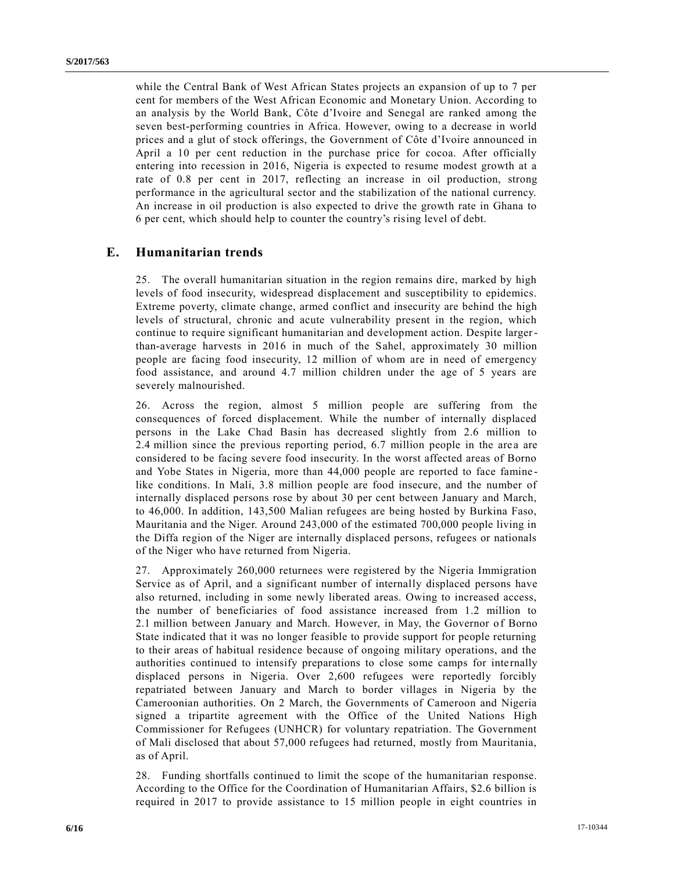while the Central Bank of West African States projects an expansion of up to 7 per cent for members of the West African Economic and Monetary Union. According to an analysis by the World Bank, Côte d'Ivoire and Senegal are ranked among the seven best-performing countries in Africa. However, owing to a decrease in world prices and a glut of stock offerings, the Government of Côte d'Ivoire announced in April a 10 per cent reduction in the purchase price for cocoa. After officially entering into recession in 2016, Nigeria is expected to resume modest growth at a rate of 0.8 per cent in 2017, reflecting an increase in oil production, strong performance in the agricultural sector and the stabilization of the national currency. An increase in oil production is also expected to drive the growth rate in Ghana to 6 per cent, which should help to counter the country's rising level of debt.

### **E.  Humanitarian trends**

25. The overall humanitarian situation in the region remains dire, marked by high levels of food insecurity, widespread displacement and susceptibility to epidemics. Extreme poverty, climate change, armed conflict and insecurity are behind the high levels of structural, chronic and acute vulnerability present in the region, which continue to require significant humanitarian and development action. Despite largerthan-average harvests in 2016 in much of the Sahel, approximately 30 million people are facing food insecurity, 12 million of whom are in need of emergency food assistance, and around 4.7 million children under the age of 5 years are severely malnourished.

26. Across the region, almost 5 million people are suffering from the consequences of forced displacement. While the number of internally displaced persons in the Lake Chad Basin has decreased slightly from 2.6 million to 2.4 million since the previous reporting period, 6.7 million people in the are a are considered to be facing severe food insecurity. In the worst affected areas of Borno and Yobe States in Nigeria, more than 44,000 people are reported to face famine like conditions. In Mali, 3.8 million people are food insecure, and the number of internally displaced persons rose by about 30 per cent between January and March, to 46,000. In addition, 143,500 Malian refugees are being hosted by Burkina Faso, Mauritania and the Niger. Around 243,000 of the estimated 700,000 people living in the Diffa region of the Niger are internally displaced persons, refugees or nationals of the Niger who have returned from Nigeria.

27. Approximately 260,000 returnees were registered by the Nigeria Immigration Service as of April, and a significant number of internally displaced persons have also returned, including in some newly liberated areas. Owing to increased access, the number of beneficiaries of food assistance increased from 1.2 million to 2.1 million between January and March. However, in May, the Governor of Borno State indicated that it was no longer feasible to provide support for people returning to their areas of habitual residence because of ongoing military operations, and the authorities continued to intensify preparations to close some camps for internally displaced persons in Nigeria. Over 2,600 refugees were reportedly forcibly repatriated between January and March to border villages in Nigeria by the Cameroonian authorities. On 2 March, the Governments of Cameroon and Nigeria signed a tripartite agreement with the Office of the United Nations High Commissioner for Refugees (UNHCR) for voluntary repatriation. The Government of Mali disclosed that about 57,000 refugees had returned, mostly from Mauritania, as of April.

28. Funding shortfalls continued to limit the scope of the humanitarian response. According to the Office for the Coordination of Humanitarian Affairs, \$2.6 billion is required in 2017 to provide assistance to 15 million people in eight countries in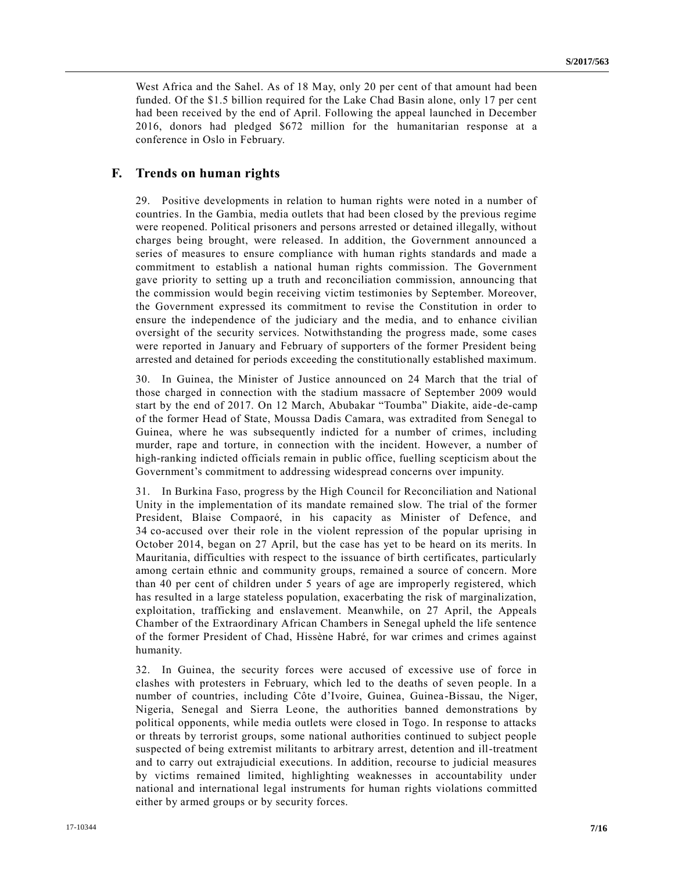West Africa and the Sahel. As of 18 May, only 20 per cent of that amount had been funded. Of the \$1.5 billion required for the Lake Chad Basin alone, only 17 per cent had been received by the end of April. Following the appeal launched in December 2016, donors had pledged \$672 million for the humanitarian response at a conference in Oslo in February.

## **F. Trends on human rights**

29. Positive developments in relation to human rights were noted in a number of countries. In the Gambia, media outlets that had been closed by the previous regime were reopened. Political prisoners and persons arrested or detained illegally, without charges being brought, were released. In addition, the Government announced a series of measures to ensure compliance with human rights standards and made a commitment to establish a national human rights commission. The Government gave priority to setting up a truth and reconciliation commission, announcing that the commission would begin receiving victim testimonies by September. Moreover, the Government expressed its commitment to revise the Constitution in order to ensure the independence of the judiciary and the media, and to enhance civilian oversight of the security services. Notwithstanding the progress made, some cases were reported in January and February of supporters of the former President being arrested and detained for periods exceeding the constitutionally established maximum.

30. In Guinea, the Minister of Justice announced on 24 March that the trial of those charged in connection with the stadium massacre of September 2009 would start by the end of 2017. On 12 March, Abubakar "Toumba" Diakite, aide -de-camp of the former Head of State, Moussa Dadis Camara, was extradited from Senegal to Guinea, where he was subsequently indicted for a number of crimes, including murder, rape and torture, in connection with the incident. However, a number of high-ranking indicted officials remain in public office, fuelling scepticism about the Government's commitment to addressing widespread concerns over impunity.

31. In Burkina Faso, progress by the High Council for Reconciliation and National Unity in the implementation of its mandate remained slow. The trial of the former President, Blaise Compaoré, in his capacity as Minister of Defence, and 34 co-accused over their role in the violent repression of the popular uprising in October 2014, began on 27 April, but the case has yet to be heard on its merits. In Mauritania, difficulties with respect to the issuance of birth certificates, particularly among certain ethnic and community groups, remained a source of concern. More than 40 per cent of children under 5 years of age are improperly registered, which has resulted in a large stateless population, exacerbating the risk of marginalization, exploitation, trafficking and enslavement. Meanwhile, on 27 April, the Appeals Chamber of the Extraordinary African Chambers in Senegal upheld the life sentence of the former President of Chad, Hissène Habré, for war crimes and crimes against humanity.

32. In Guinea, the security forces were accused of excessive use of force in clashes with protesters in February, which led to the deaths of seven people. In a number of countries, including Côte d'Ivoire, Guinea, Guinea-Bissau, the Niger, Nigeria, Senegal and Sierra Leone, the authorities banned demonstrations by political opponents, while media outlets were closed in Togo. In response to attacks or threats by terrorist groups, some national authorities continued to subject people suspected of being extremist militants to arbitrary arrest, detention and ill-treatment and to carry out extrajudicial executions. In addition, recourse to judicial measures by victims remained limited, highlighting weaknesses in accountability under national and international legal instruments for human rights violations committed either by armed groups or by security forces.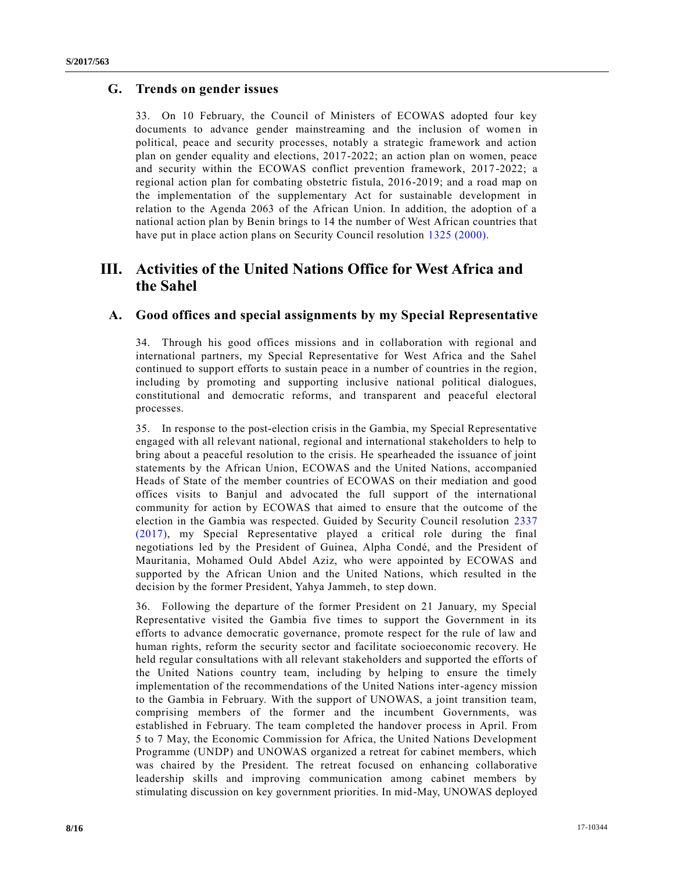## **G. Trends on gender issues**

33. On 10 February, the Council of Ministers of ECOWAS adopted four key documents to advance gender mainstreaming and the inclusion of women in political, peace and security processes, notably a strategic framework and action plan on gender equality and elections, 2017-2022; an action plan on women, peace and security within the ECOWAS conflict prevention framework, 2017-2022; a regional action plan for combating obstetric fistula, 2016-2019; and a road map on the implementation of the supplementary Act for sustainable development in relation to the Agenda 2063 of the African Union. In addition, the adoption of a national action plan by Benin brings to 14 the number of West African countries that have put in place action plans on Security Council resolution [1325 \(2000\).](https://undocs.org/S/RES/1325(2000))

# **III. Activities of the United Nations Office for West Africa and the Sahel**

### **A. Good offices and special assignments by my Special Representative**

34. Through his good offices missions and in collaboration with regional and international partners, my Special Representative for West Africa and the Sahel continued to support efforts to sustain peace in a number of countries in the region, including by promoting and supporting inclusive national political dialogues, constitutional and democratic reforms, and transparent and peaceful electoral processes.

35. In response to the post-election crisis in the Gambia, my Special Representative engaged with all relevant national, regional and international stakeholders to help to bring about a peaceful resolution to the crisis. He spearheaded the issuance of joint statements by the African Union, ECOWAS and the United Nations, accompanied Heads of State of the member countries of ECOWAS on their mediation and good offices visits to Banjul and advocated the full support of the international community for action by ECOWAS that aimed to ensure that the outcome of the election in the Gambia was respected. Guided by Security Council resolution [2337](https://undocs.org/S/RES/2337(2017))  [\(2017\),](https://undocs.org/S/RES/2337(2017)) my Special Representative played a critical role during the final negotiations led by the President of Guinea, Alpha Condé, and the President of Mauritania, Mohamed Ould Abdel Aziz, who were appointed by ECOWAS and supported by the African Union and the United Nations, which resulted in the decision by the former President, Yahya Jammeh, to step down.

36. Following the departure of the former President on 21 January, my Special Representative visited the Gambia five times to support the Government in its efforts to advance democratic governance, promote respect for the rule of law and human rights, reform the security sector and facilitate socioeconomic recovery. He held regular consultations with all relevant stakeholders and supported the efforts of the United Nations country team, including by helping to ensure the timely implementation of the recommendations of the United Nations inter-agency mission to the Gambia in February. With the support of UNOWAS, a joint transition team, comprising members of the former and the incumbent Governments, was established in February. The team completed the handover process in April. From 5 to 7 May, the Economic Commission for Africa, the United Nations Development Programme (UNDP) and UNOWAS organized a retreat for cabinet members, which was chaired by the President. The retreat focused on enhancing collaborative leadership skills and improving communication among cabinet members by stimulating discussion on key government priorities. In mid-May, UNOWAS deployed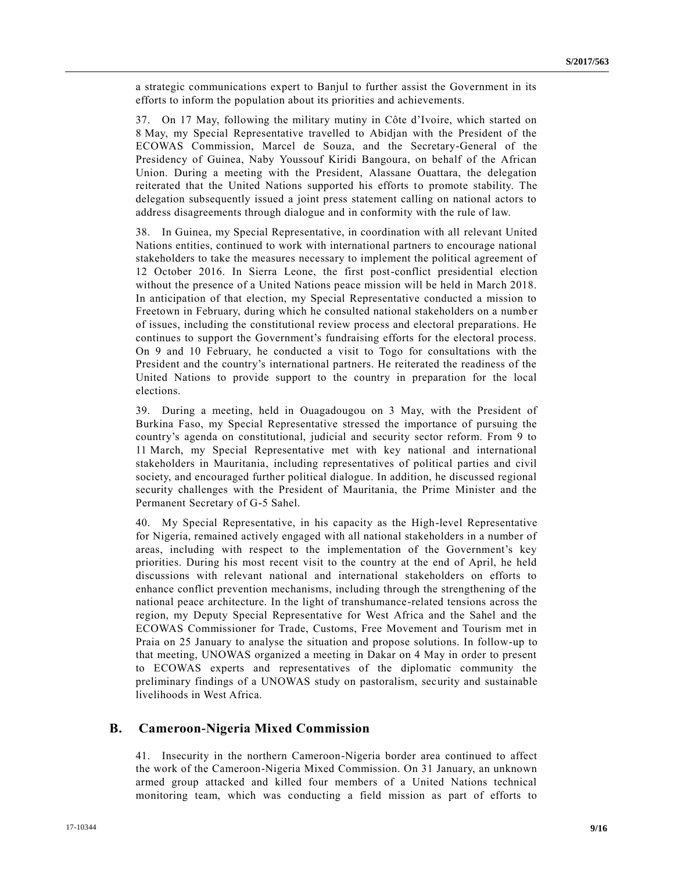a strategic communications expert to Banjul to further assist the Government in its efforts to inform the population about its priorities and achievements.

37. On 17 May, following the military mutiny in Côte d'Ivoire, which started on 8 May, my Special Representative travelled to Abidjan with the President of the ECOWAS Commission, Marcel de Souza, and the Secretary-General of the Presidency of Guinea, Naby Youssouf Kiridi Bangoura, on behalf of the African Union. During a meeting with the President, Alassane Ouattara, the delegation reiterated that the United Nations supported his efforts to promote stability. The delegation subsequently issued a joint press statement calling on national actors to address disagreements through dialogue and in conformity with the rule of law.

38. In Guinea, my Special Representative, in coordination with all relevant United Nations entities, continued to work with international partners to encourage national stakeholders to take the measures necessary to implement the political agreement of 12 October 2016. In Sierra Leone, the first post-conflict presidential election without the presence of a United Nations peace mission will be held in March 2018. In anticipation of that election, my Special Representative conducted a mission to Freetown in February, during which he consulted national stakeholders on a numb er of issues, including the constitutional review process and electoral preparations. He continues to support the Government's fundraising efforts for the electoral process. On 9 and 10 February, he conducted a visit to Togo for consultations with the President and the country's international partners. He reiterated the readiness of the United Nations to provide support to the country in preparation for the local elections.

39. During a meeting, held in Ouagadougou on 3 May, with the President of Burkina Faso, my Special Representative stressed the importance of pursuing the country's agenda on constitutional, judicial and security sector reform. From 9 to 11 March, my Special Representative met with key national and international stakeholders in Mauritania, including representatives of political parties and civil society, and encouraged further political dialogue. In addition, he discussed regional security challenges with the President of Mauritania, the Prime Minister and the Permanent Secretary of G-5 Sahel.

40. My Special Representative, in his capacity as the High-level Representative for Nigeria, remained actively engaged with all national stakeholders in a number of areas, including with respect to the implementation of the Government's key priorities. During his most recent visit to the country at the end of April, he held discussions with relevant national and international stakeholders on efforts to enhance conflict prevention mechanisms, including through the strengthening of the national peace architecture. In the light of transhumance-related tensions across the region, my Deputy Special Representative for West Africa and the Sahel and the ECOWAS Commissioner for Trade, Customs, Free Movement and Tourism met in Praia on 25 January to analyse the situation and propose solutions. In follow-up to that meeting, UNOWAS organized a meeting in Dakar on 4 May in order to present to ECOWAS experts and representatives of the diplomatic community the preliminary findings of a UNOWAS study on pastoralism, security and sustainable livelihoods in West Africa.

### **B.  Cameroon-Nigeria Mixed Commission**

41. Insecurity in the northern Cameroon-Nigeria border area continued to affect the work of the Cameroon-Nigeria Mixed Commission. On 31 January, an unknown armed group attacked and killed four members of a United Nations technical monitoring team, which was conducting a field mission as part of efforts to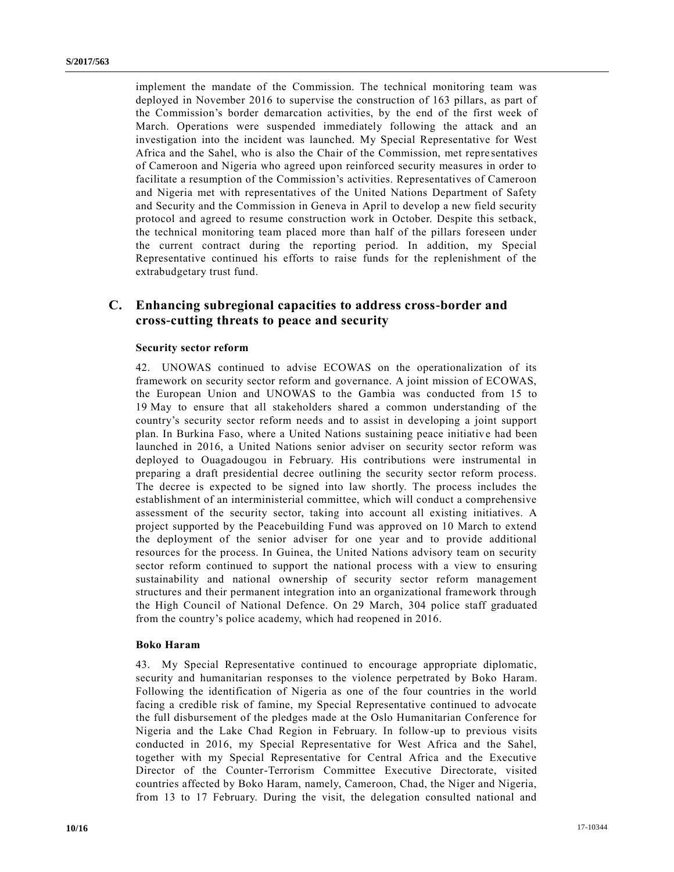implement the mandate of the Commission. The technical monitoring team was deployed in November 2016 to supervise the construction of 163 pillars, as part of the Commission's border demarcation activities, by the end of the first week of March. Operations were suspended immediately following the attack and an investigation into the incident was launched. My Special Representative for West Africa and the Sahel, who is also the Chair of the Commission, met repre sentatives of Cameroon and Nigeria who agreed upon reinforced security measures in order to facilitate a resumption of the Commission's activities. Representatives of Cameroon and Nigeria met with representatives of the United Nations Department of Safety and Security and the Commission in Geneva in April to develop a new field security protocol and agreed to resume construction work in October. Despite this setback, the technical monitoring team placed more than half of the pillars foreseen under the current contract during the reporting period. In addition, my Special Representative continued his efforts to raise funds for the replenishment of the extrabudgetary trust fund.

## **C. Enhancing subregional capacities to address cross-border and cross-cutting threats to peace and security**

#### **Security sector reform**

42. UNOWAS continued to advise ECOWAS on the operationalization of its framework on security sector reform and governance. A joint mission of ECOWAS, the European Union and UNOWAS to the Gambia was conducted from 15 to 19 May to ensure that all stakeholders shared a common understanding of the country's security sector reform needs and to assist in developing a joint support plan. In Burkina Faso, where a United Nations sustaining peace initiative had been launched in 2016, a United Nations senior adviser on security sector reform was deployed to Ouagadougou in February. His contributions were instrumental in preparing a draft presidential decree outlining the security sector reform process. The decree is expected to be signed into law shortly. The process includes the establishment of an interministerial committee, which will conduct a comprehensive assessment of the security sector, taking into account all existing initiatives. A project supported by the Peacebuilding Fund was approved on 10 March to extend the deployment of the senior adviser for one year and to provide additional resources for the process. In Guinea, the United Nations advisory team on security sector reform continued to support the national process with a view to ensuring sustainability and national ownership of security sector reform management structures and their permanent integration into an organizational framework through the High Council of National Defence. On 29 March, 304 police staff graduated from the country's police academy, which had reopened in 2016.

#### **Boko Haram**

43. My Special Representative continued to encourage appropriate diplomatic, security and humanitarian responses to the violence perpetrated by Boko Haram. Following the identification of Nigeria as one of the four countries in the world facing a credible risk of famine, my Special Representative continued to advocate the full disbursement of the pledges made at the Oslo Humanitarian Conference for Nigeria and the Lake Chad Region in February. In follow-up to previous visits conducted in 2016, my Special Representative for West Africa and the Sahel, together with my Special Representative for Central Africa and the Executive Director of the Counter-Terrorism Committee Executive Directorate, visited countries affected by Boko Haram, namely, Cameroon, Chad, the Niger and Nigeria, from 13 to 17 February. During the visit, the delegation consulted national and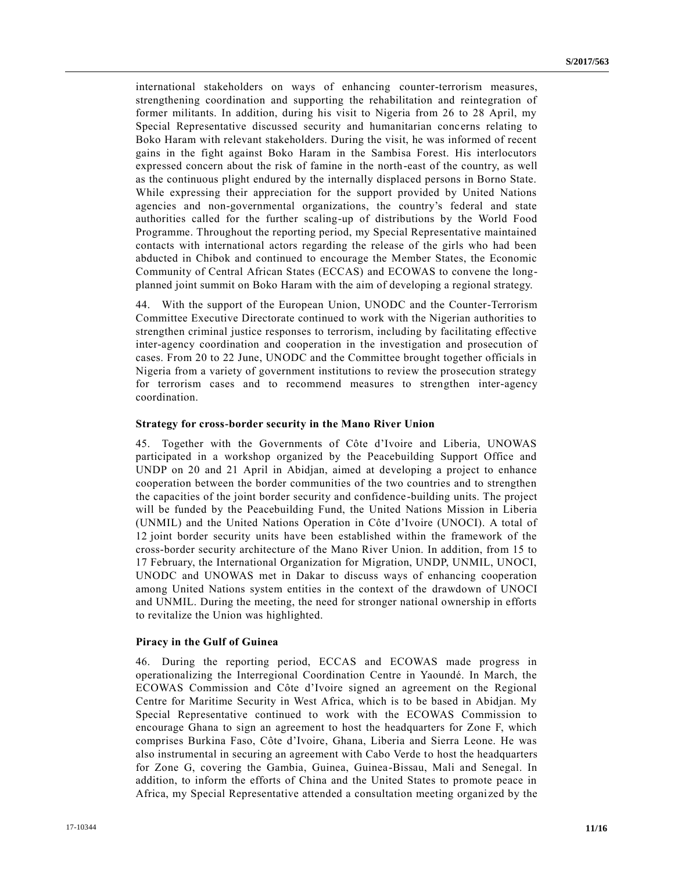international stakeholders on ways of enhancing counter-terrorism measures, strengthening coordination and supporting the rehabilitation and reintegration of former militants. In addition, during his visit to Nigeria from 26 to 28 April, my Special Representative discussed security and humanitarian concerns relating to Boko Haram with relevant stakeholders. During the visit, he was informed of recent gains in the fight against Boko Haram in the Sambisa Forest. His interlocutors expressed concern about the risk of famine in the north-east of the country, as well as the continuous plight endured by the internally displaced persons in Borno State. While expressing their appreciation for the support provided by United Nations agencies and non-governmental organizations, the country's federal and state authorities called for the further scaling-up of distributions by the World Food Programme. Throughout the reporting period, my Special Representative maintained contacts with international actors regarding the release of the girls who had been abducted in Chibok and continued to encourage the Member States, the Economic Community of Central African States (ECCAS) and ECOWAS to convene the longplanned joint summit on Boko Haram with the aim of developing a regional strategy.

44. With the support of the European Union, UNODC and the Counter-Terrorism Committee Executive Directorate continued to work with the Nigerian authorities to strengthen criminal justice responses to terrorism, including by facilitating effective inter-agency coordination and cooperation in the investigation and prosecution of cases. From 20 to 22 June, UNODC and the Committee brought together officials in Nigeria from a variety of government institutions to review the prosecution strategy for terrorism cases and to recommend measures to strengthen inter-agency coordination.

#### **Strategy for cross-border security in the Mano River Union**

45. Together with the Governments of Côte d'Ivoire and Liberia, UNOWAS participated in a workshop organized by the Peacebuilding Support Office and UNDP on 20 and 21 April in Abidjan, aimed at developing a project to enhance cooperation between the border communities of the two countries and to strengthen the capacities of the joint border security and confidence-building units. The project will be funded by the Peacebuilding Fund, the United Nations Mission in Liberia (UNMIL) and the United Nations Operation in Côte d'Ivoire (UNOCI). A total of 12 joint border security units have been established within the framework of the cross-border security architecture of the Mano River Union. In addition, from 15 to 17 February, the International Organization for Migration, UNDP, UNMIL, UNOCI, UNODC and UNOWAS met in Dakar to discuss ways of enhancing cooperation among United Nations system entities in the context of the drawdown of UNOCI and UNMIL. During the meeting, the need for stronger national ownership in efforts to revitalize the Union was highlighted.

#### **Piracy in the Gulf of Guinea**

46. During the reporting period, ECCAS and ECOWAS made progress in operationalizing the Interregional Coordination Centre in Yaoundé. In March, the ECOWAS Commission and Côte d'Ivoire signed an agreement on the Regional Centre for Maritime Security in West Africa, which is to be based in Abidjan. My Special Representative continued to work with the ECOWAS Commission to encourage Ghana to sign an agreement to host the headquarters for Zone F, which comprises Burkina Faso, Côte d'Ivoire, Ghana, Liberia and Sierra Leone. He was also instrumental in securing an agreement with Cabo Verde to host the headquarters for Zone G, covering the Gambia, Guinea, Guinea-Bissau, Mali and Senegal. In addition, to inform the efforts of China and the United States to promote peace in Africa, my Special Representative attended a consultation meeting organi zed by the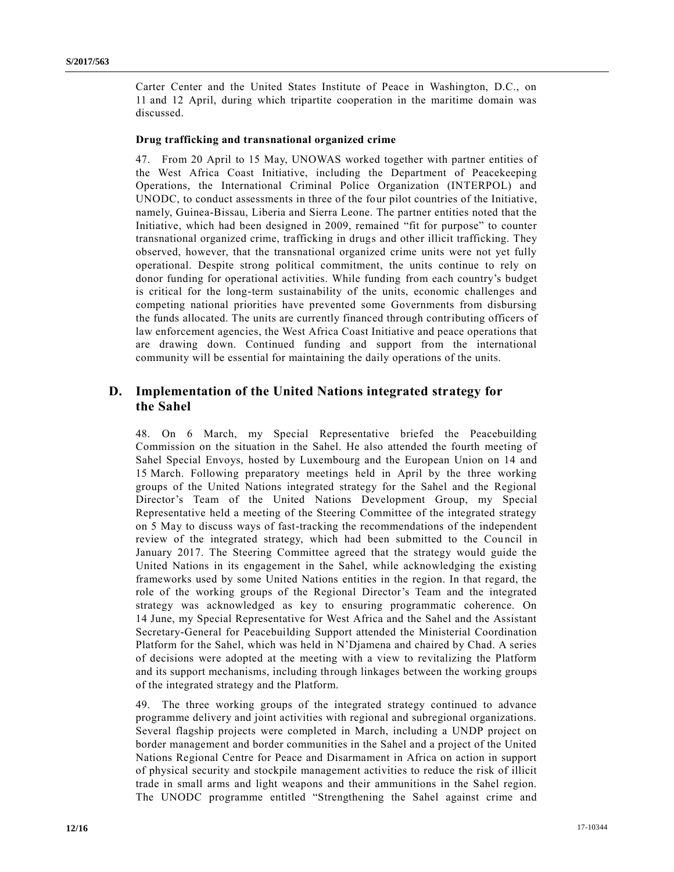Carter Center and the United States Institute of Peace in Washington, D.C., on 11 and 12 April, during which tripartite cooperation in the maritime domain was discussed.

#### **Drug trafficking and transnational organized crime**

47. From 20 April to 15 May, UNOWAS worked together with partner entities of the West Africa Coast Initiative, including the Department of Peacekeeping Operations, the International Criminal Police Organization (INTERPOL) and UNODC, to conduct assessments in three of the four pilot countries of the Initiative, namely, Guinea-Bissau, Liberia and Sierra Leone. The partner entities noted that the Initiative, which had been designed in 2009, remained "fit for purpose" to counter transnational organized crime, trafficking in drugs and other illicit trafficking. They observed, however, that the transnational organized crime units were not yet fully operational. Despite strong political commitment, the units continue to rely on donor funding for operational activities. While funding from each country's budget is critical for the long-term sustainability of the units, economic challenges and competing national priorities have prevented some Governments from disbursing the funds allocated. The units are currently financed through contributing officers of law enforcement agencies, the West Africa Coast Initiative and peace operations that are drawing down. Continued funding and support from the international community will be essential for maintaining the daily operations of the units.

# **D. Implementation of the United Nations integrated strategy for the Sahel**

48. On 6 March, my Special Representative briefed the Peacebuilding Commission on the situation in the Sahel. He also attended the fourth meeting of Sahel Special Envoys, hosted by Luxembourg and the European Union on 14 and 15 March. Following preparatory meetings held in April by the three working groups of the United Nations integrated strategy for the Sahel and the Regional Director's Team of the United Nations Development Group, my Special Representative held a meeting of the Steering Committee of the integrated strategy on 5 May to discuss ways of fast-tracking the recommendations of the independent review of the integrated strategy, which had been submitted to the Council in January 2017. The Steering Committee agreed that the strategy would guide the United Nations in its engagement in the Sahel, while acknowledging the existing frameworks used by some United Nations entities in the region. In that regard, the role of the working groups of the Regional Director's Team and the integrated strategy was acknowledged as key to ensuring programmatic coherence. On 14 June, my Special Representative for West Africa and the Sahel and the Assistant Secretary-General for Peacebuilding Support attended the Ministerial Coordination Platform for the Sahel, which was held in N'Djamena and chaired by Chad. A series of decisions were adopted at the meeting with a view to revitalizing the Platform and its support mechanisms, including through linkages between the working groups of the integrated strategy and the Platform.

49. The three working groups of the integrated strategy continued to advance programme delivery and joint activities with regional and subregional organizations. Several flagship projects were completed in March, including a UNDP project on border management and border communities in the Sahel and a project of the United Nations Regional Centre for Peace and Disarmament in Africa on action in support of physical security and stockpile management activities to reduce the risk of illicit trade in small arms and light weapons and their ammunitions in the Sahel region. The UNODC programme entitled "Strengthening the Sahel against crime and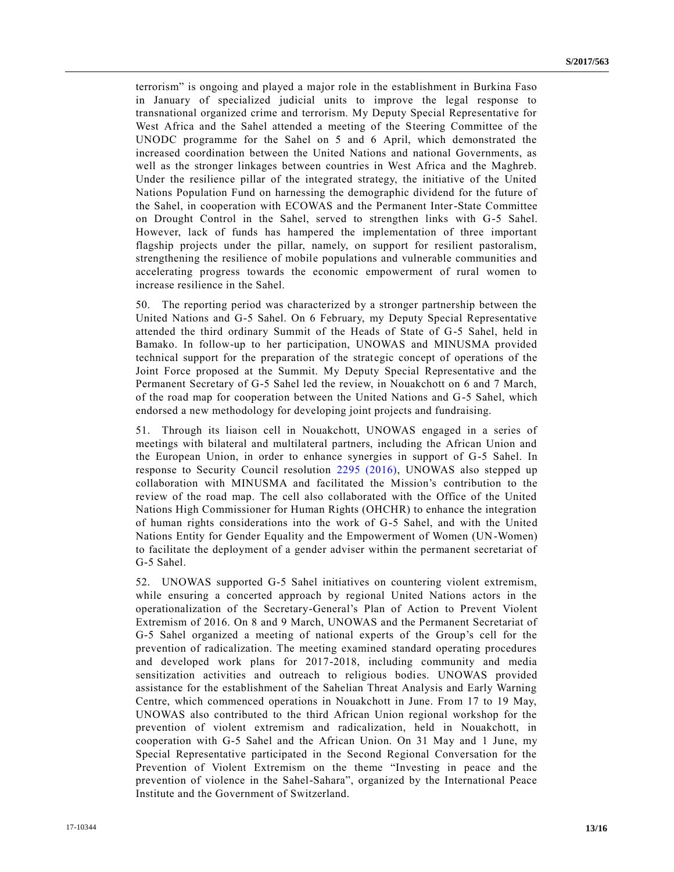terrorism" is ongoing and played a major role in the establishment in Burkina Faso in January of specialized judicial units to improve the legal response to transnational organized crime and terrorism. My Deputy Special Representative for West Africa and the Sahel attended a meeting of the Steering Committee of the UNODC programme for the Sahel on 5 and 6 April, which demonstrated the increased coordination between the United Nations and national Governments, as well as the stronger linkages between countries in West Africa and the Maghreb. Under the resilience pillar of the integrated strategy, the initiative of the United Nations Population Fund on harnessing the demographic dividend for the future of the Sahel, in cooperation with ECOWAS and the Permanent Inter-State Committee on Drought Control in the Sahel, served to strengthen links with G-5 Sahel. However, lack of funds has hampered the implementation of three important flagship projects under the pillar, namely, on support for resilient pastoralism, strengthening the resilience of mobile populations and vulnerable communities and accelerating progress towards the economic empowerment of rural women to increase resilience in the Sahel.

50. The reporting period was characterized by a stronger partnership between the United Nations and G-5 Sahel. On 6 February, my Deputy Special Representative attended the third ordinary Summit of the Heads of State of G-5 Sahel, held in Bamako. In follow-up to her participation, UNOWAS and MINUSMA provided technical support for the preparation of the strategic concept of operations of the Joint Force proposed at the Summit. My Deputy Special Representative and the Permanent Secretary of G-5 Sahel led the review, in Nouakchott on 6 and 7 March, of the road map for cooperation between the United Nations and G-5 Sahel, which endorsed a new methodology for developing joint projects and fundraising.

51. Through its liaison cell in Nouakchott, UNOWAS engaged in a series of meetings with bilateral and multilateral partners, including the African Union and the European Union, in order to enhance synergies in support of G-5 Sahel. In response to Security Council resolution [2295 \(2016\),](https://undocs.org/S/RES/2295(2016)) UNOWAS also stepped up collaboration with MINUSMA and facilitated the Mission's contribution to the review of the road map. The cell also collaborated with the Office of the United Nations High Commissioner for Human Rights (OHCHR) to enhance the integration of human rights considerations into the work of G-5 Sahel, and with the United Nations Entity for Gender Equality and the Empowerment of Women (UN-Women) to facilitate the deployment of a gender adviser within the permanent secretariat of G-5 Sahel.

52. UNOWAS supported G-5 Sahel initiatives on countering violent extremism, while ensuring a concerted approach by regional United Nations actors in the operationalization of the Secretary-General's Plan of Action to Prevent Violent Extremism of 2016. On 8 and 9 March, UNOWAS and the Permanent Secretariat of G-5 Sahel organized a meeting of national experts of the Group's cell for the prevention of radicalization. The meeting examined standard operating procedures and developed work plans for 2017-2018, including community and media sensitization activities and outreach to religious bodies. UNOWAS provided assistance for the establishment of the Sahelian Threat Analysis and Early Warning Centre, which commenced operations in Nouakchott in June. From 17 to 19 May, UNOWAS also contributed to the third African Union regional workshop for the prevention of violent extremism and radicalization, held in Nouakchott, in cooperation with G-5 Sahel and the African Union. On 31 May and 1 June, my Special Representative participated in the Second Regional Conversation for the Prevention of Violent Extremism on the theme "Investing in peace and the prevention of violence in the Sahel-Sahara", organized by the International Peace Institute and the Government of Switzerland.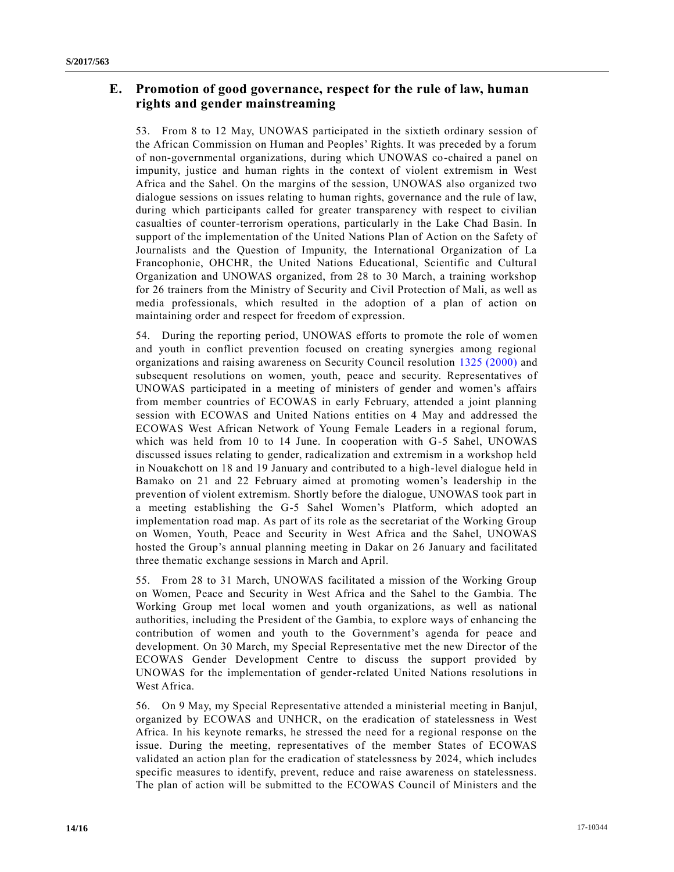# **E. Promotion of good governance, respect for the rule of law, human rights and gender mainstreaming**

53. From 8 to 12 May, UNOWAS participated in the sixtieth ordinary session of the African Commission on Human and Peoples' Rights. It was preceded by a forum of non-governmental organizations, during which UNOWAS co-chaired a panel on impunity, justice and human rights in the context of violent extremism in West Africa and the Sahel. On the margins of the session, UNOWAS also organized two dialogue sessions on issues relating to human rights, governance and the rule of law, during which participants called for greater transparency with respect to civilian casualties of counter-terrorism operations, particularly in the Lake Chad Basin. In support of the implementation of the United Nations Plan of Action on the Safety of Journalists and the Question of Impunity, the International Organization of La Francophonie, OHCHR, the United Nations Educational, Scientific and Cultural Organization and UNOWAS organized, from 28 to 30 March, a training workshop for 26 trainers from the Ministry of Security and Civil Protection of Mali, as well as media professionals, which resulted in the adoption of a plan of action on maintaining order and respect for freedom of expression.

54. During the reporting period, UNOWAS efforts to promote the role of women and youth in conflict prevention focused on creating synergies among regional organizations and raising awareness on Security Council resolution [1325 \(2000\)](https://undocs.org/S/RES/1325(2000)) and subsequent resolutions on women, youth, peace and security. Representatives of UNOWAS participated in a meeting of ministers of gender and women's affairs from member countries of ECOWAS in early February, attended a joint planning session with ECOWAS and United Nations entities on 4 May and addressed the ECOWAS West African Network of Young Female Leaders in a regional forum, which was held from 10 to 14 June. In cooperation with G-5 Sahel, UNOWAS discussed issues relating to gender, radicalization and extremism in a workshop held in Nouakchott on 18 and 19 January and contributed to a high-level dialogue held in Bamako on 21 and 22 February aimed at promoting women's leadership in the prevention of violent extremism. Shortly before the dialogue, UNOWAS took part in a meeting establishing the G-5 Sahel Women's Platform, which adopted an implementation road map. As part of its role as the secretariat of the Working Group on Women, Youth, Peace and Security in West Africa and the Sahel, UNOWAS hosted the Group's annual planning meeting in Dakar on 26 January and facilitated three thematic exchange sessions in March and April.

55. From 28 to 31 March, UNOWAS facilitated a mission of the Working Group on Women, Peace and Security in West Africa and the Sahel to the Gambia. The Working Group met local women and youth organizations, as well as national authorities, including the President of the Gambia, to explore ways of enhancing the contribution of women and youth to the Government's agenda for peace and development. On 30 March, my Special Representative met the new Director of the ECOWAS Gender Development Centre to discuss the support provided by UNOWAS for the implementation of gender-related United Nations resolutions in West Africa.

56. On 9 May, my Special Representative attended a ministerial meeting in Banjul, organized by ECOWAS and UNHCR, on the eradication of statelessness in West Africa. In his keynote remarks, he stressed the need for a regional response on the issue. During the meeting, representatives of the member States of ECOWAS validated an action plan for the eradication of statelessness by 2024, which includes specific measures to identify, prevent, reduce and raise awareness on statelessness. The plan of action will be submitted to the ECOWAS Council of Ministers and the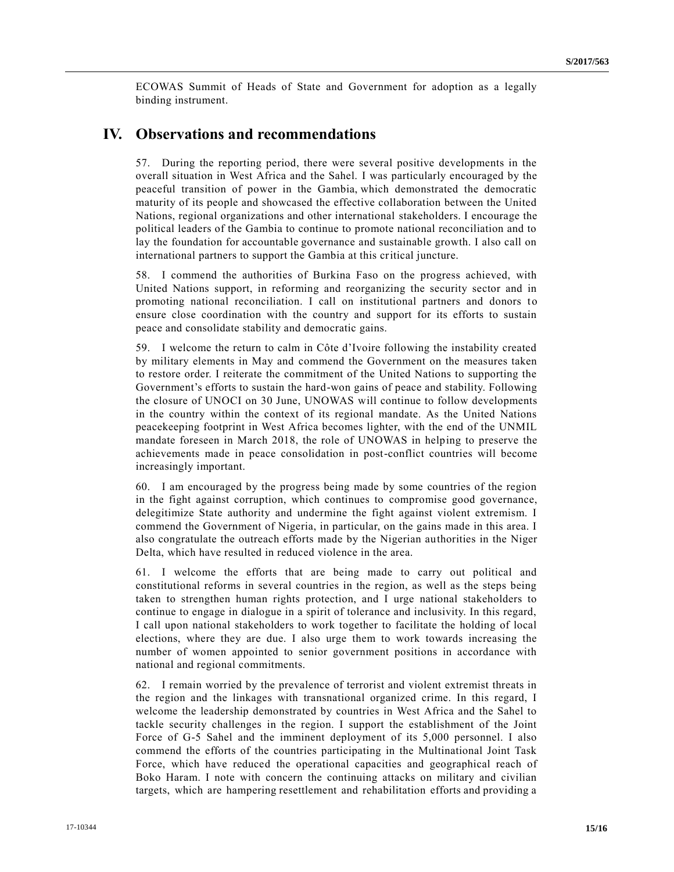ECOWAS Summit of Heads of State and Government for adoption as a legally binding instrument.

# **IV. Observations and recommendations**

57. During the reporting period, there were several positive developments in the overall situation in West Africa and the Sahel. I was particularly encouraged by the peaceful transition of power in the Gambia, which demonstrated the democratic maturity of its people and showcased the effective collaboration between the United Nations, regional organizations and other international stakeholders. I encourage the political leaders of the Gambia to continue to promote national reconciliation and to lay the foundation for accountable governance and sustainable growth. I also call on international partners to support the Gambia at this critical juncture.

58. I commend the authorities of Burkina Faso on the progress achieved, with United Nations support, in reforming and reorganizing the security sector and in promoting national reconciliation. I call on institutional partners and donors to ensure close coordination with the country and support for its efforts to sustain peace and consolidate stability and democratic gains. 

59. I welcome the return to calm in Côte d'Ivoire following the instability created by military elements in May and commend the Government on the measures taken to restore order. I reiterate the commitment of the United Nations to supporting the Government's efforts to sustain the hard-won gains of peace and stability. Following the closure of UNOCI on 30 June, UNOWAS will continue to follow developments in the country within the context of its regional mandate. As the United Nations peacekeeping footprint in West Africa becomes lighter, with the end of the UNMIL mandate foreseen in March 2018, the role of UNOWAS in helping to preserve the achievements made in peace consolidation in post-conflict countries will become increasingly important.

60. I am encouraged by the progress being made by some countries of the region in the fight against corruption, which continues to compromise good governance, delegitimize State authority and undermine the fight against violent extremism. I commend the Government of Nigeria, in particular, on the gains made in this area. I also congratulate the outreach efforts made by the Nigerian authorities in the Niger Delta, which have resulted in reduced violence in the area.

61. I welcome the efforts that are being made to carry out political and constitutional reforms in several countries in the region, as well as the steps being taken to strengthen human rights protection, and I urge national stakeholders to continue to engage in dialogue in a spirit of tolerance and inclusivity. In this regard, I call upon national stakeholders to work together to facilitate the holding of local elections, where they are due. I also urge them to work towards increasing the number of women appointed to senior government positions in accordance with national and regional commitments.

62. I remain worried by the prevalence of terrorist and violent extremist threats in the region and the linkages with transnational organized crime. In this regard, I welcome the leadership demonstrated by countries in West Africa and the Sahel to tackle security challenges in the region. I support the establishment of the Joint Force of G-5 Sahel and the imminent deployment of its 5,000 personnel. I also commend the efforts of the countries participating in the Multinational Joint Task Force, which have reduced the operational capacities and geographical reach of Boko Haram. I note with concern the continuing attacks on military and civilian targets, which are hampering resettlement and rehabilitation efforts and providing a